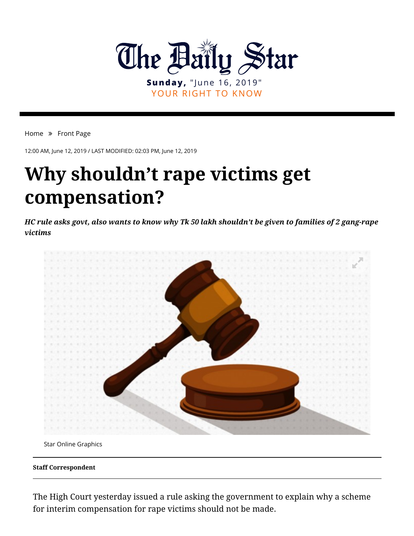

## YOUR RIGHT TO KNOW

[Home](https://www.thedailystar.net/) » [Front Page](https://www.thedailystar.net/frontpage)

12:00 AM, June 12, 2019 / LAST MODIFIED: 02:03 PM, June 12, 2019

## **Why shouldn't rape victims get compensation?**

*HC rule asks govt, also wants to know why Tk 50 lakh shouldn't be given to families of 2 gang-rape victims*



Star Online Graphics

**Staff Correspondent**

The High Court yesterday issued a rule asking the government to explain why a scheme for interim compensation for rape victims should not be made.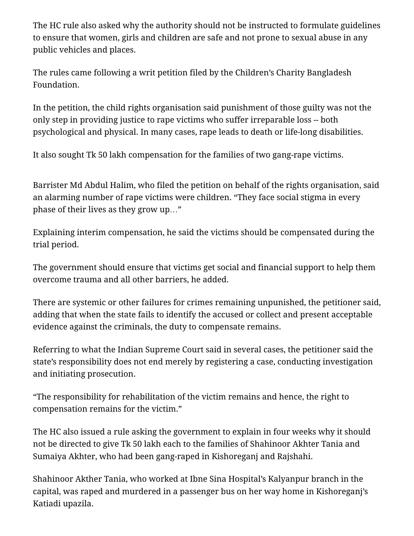The HC rule also asked why the authority should not be instructed to formulate guidelines to ensure that women, girls and children are safe and not prone to sexual abuse in any public vehicles and places.

The rules came following a writ petition filed by the Children's Charity Bangladesh Foundation.

In the petition, the child rights organisation said punishment of those guilty was not the only step in providing justice to rape victims who suffer irreparable loss -- both psychological and physical. In many cases, rape leads to death or life-long disabilities.

It also sought Tk 50 lakh compensation for the families of two gang-rape victims.

Barrister Md Abdul Halim, who filed the petition on behalf of the rights organisation, said an alarming number of rape victims were children. "They face social stigma in every phase of their lives as they grow up…"

Explaining interim compensation, he said the victims should be compensated during the trial period.

The government should ensure that victims get social and financial support to help them overcome trauma and all other barriers, he added.

There are systemic or other failures for crimes remaining unpunished, the petitioner said, adding that when the state fails to identify the accused or collect and present acceptable evidence against the criminals, the duty to compensate remains.

Referring to what the Indian Supreme Court said in several cases, the petitioner said the state's responsibility does not end merely by registering a case, conducting investigation and initiating prosecution.

"The responsibility for rehabilitation of the victim remains and hence, the right to compensation remains for the victim."

The HC also issued a rule asking the government to explain in four weeks why it should not be directed to give Tk 50 lakh each to the families of Shahinoor Akhter Tania and Sumaiya Akhter, who had been gang-raped in Kishoreganj and Rajshahi.

Shahinoor Akther Tania, who worked at Ibne Sina Hospital's Kalyanpur branch in the capital, was raped and murdered in a passenger bus on her way home in Kishoreganj's Katiadi upazila.